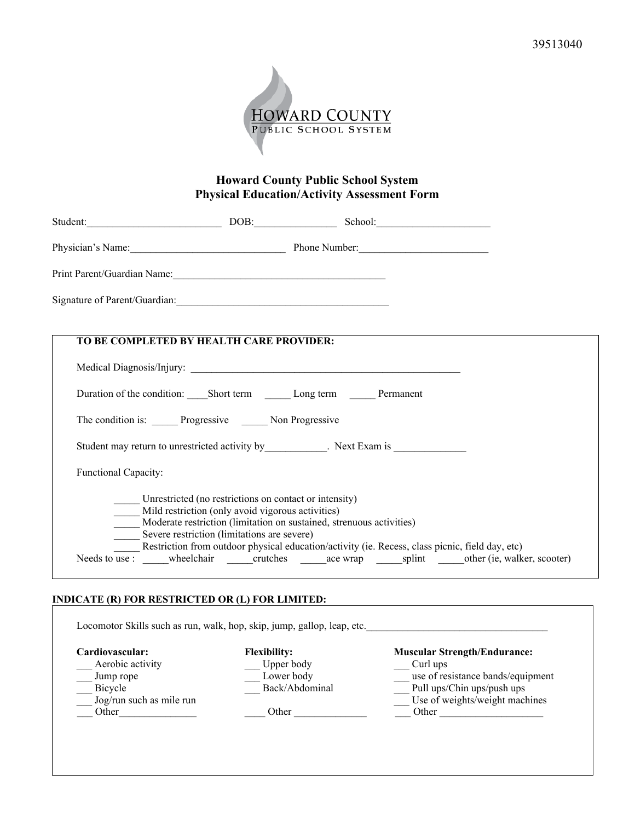

## **Howard County Public School System Physical Education/Activity Assessment Form**

| Student: <u>New York:</u> DOB: School: School:                                                                                                                                                                                 |                                                                                                                                                                                     |                                                                                                                                                                                                                           |  |
|--------------------------------------------------------------------------------------------------------------------------------------------------------------------------------------------------------------------------------|-------------------------------------------------------------------------------------------------------------------------------------------------------------------------------------|---------------------------------------------------------------------------------------------------------------------------------------------------------------------------------------------------------------------------|--|
| Physician's Name: Phone Number:                                                                                                                                                                                                |                                                                                                                                                                                     |                                                                                                                                                                                                                           |  |
| Print Parent/Guardian Name: 1988 and 1989 and 1989 and 1989 and 1989 and 1989 and 1989 and 1989 and 1989 and 1                                                                                                                 |                                                                                                                                                                                     |                                                                                                                                                                                                                           |  |
| Signature of Parent/Guardian: 1999 and 2009 and 2009 and 2009 and 2009 and 2009 and 2009 and 2009 and 2009 and 2009 and 2009 and 2009 and 2009 and 2009 and 2009 and 2009 and 2009 and 2009 and 2009 and 2009 and 2009 and 200 |                                                                                                                                                                                     |                                                                                                                                                                                                                           |  |
| TO BE COMPLETED BY HEALTH CARE PROVIDER:                                                                                                                                                                                       |                                                                                                                                                                                     |                                                                                                                                                                                                                           |  |
|                                                                                                                                                                                                                                |                                                                                                                                                                                     |                                                                                                                                                                                                                           |  |
| Duration of the condition: Short term _______ Long term _______ Permanent                                                                                                                                                      |                                                                                                                                                                                     |                                                                                                                                                                                                                           |  |
| The condition is: Progressive Non Progressive                                                                                                                                                                                  |                                                                                                                                                                                     |                                                                                                                                                                                                                           |  |
| Student may return to unrestricted activity by____________. Next Exam is ______________                                                                                                                                        |                                                                                                                                                                                     |                                                                                                                                                                                                                           |  |
| <b>Functional Capacity:</b>                                                                                                                                                                                                    |                                                                                                                                                                                     |                                                                                                                                                                                                                           |  |
| Severe restriction (limitations are severe)                                                                                                                                                                                    | Unrestricted (no restrictions on contact or intensity)<br>Mild restriction (only avoid vigorous activities)<br>Moderate restriction (limitation on sustained, strenuous activities) | Restriction from outdoor physical education/activity (ie. Recess, class picnic, field day, etc)<br>Needs to use : _____ wheelchair _______ crutches ________ ace wrap ________ splint _______ other (ie, walker, scooter) |  |

## **INDICATE (R) FOR RESTRICTED OR (L) FOR LIMITED:**

| Cardiovascular:          | <b>Flexibility:</b> | <b>Muscular Strength/Endurance:</b> |
|--------------------------|---------------------|-------------------------------------|
| Aerobic activity         | Upper body          | Curl ups                            |
| Jump rope                | Lower body          | use of resistance bands/equipment   |
| Bicycle                  | Back/Abdominal      | Pull ups/Chin ups/push ups          |
| Jog/run such as mile run |                     | Use of weights/weight machines      |
| Other                    | Other               | Other                               |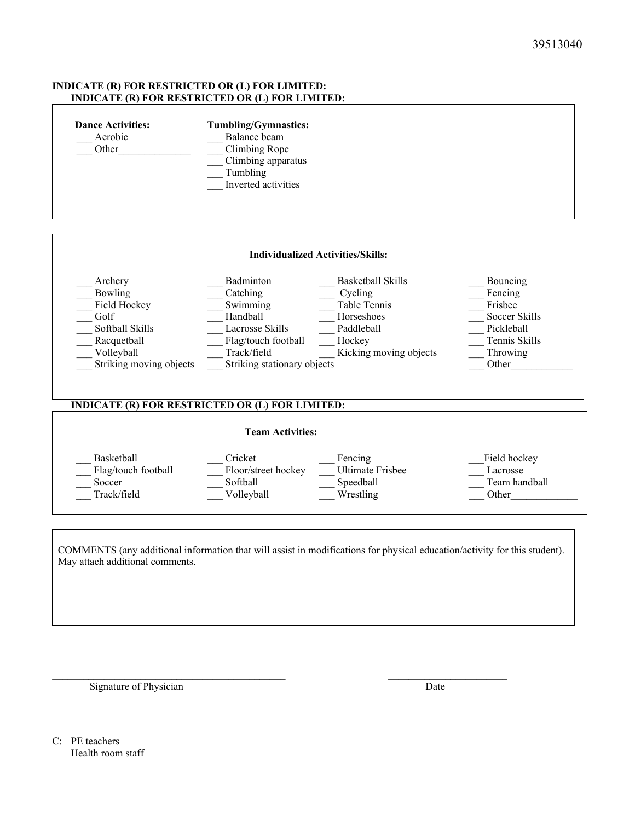## **INDICATE (R) FOR RESTRICTED OR (L) FOR LIMITED: INDICATE (R) FOR RESTRICTED OR (L) FOR LIMITED:**

| <b>Dance Activities:</b><br>Aerobic<br>Other           | Tumbling/Gymnastics:<br>Balance beam<br>Climbing Rope<br>Climbing apparatus<br>Tumbling<br>Inverted activities |                                          |                           |
|--------------------------------------------------------|----------------------------------------------------------------------------------------------------------------|------------------------------------------|---------------------------|
|                                                        |                                                                                                                | <b>Individualized Activities/Skills:</b> |                           |
| Archery                                                | Badminton                                                                                                      | <b>Basketball Skills</b>                 | Bouncing                  |
| Bowling                                                | Catching                                                                                                       | Cycling                                  | Fencing                   |
| Field Hockey                                           | Swimming                                                                                                       | <b>Table Tennis</b>                      | Frisbee                   |
| Golf                                                   | Handball                                                                                                       | Horseshoes                               | Soccer Skills             |
| Softball Skills                                        | Lacrosse Skills                                                                                                | Paddleball                               | Pickleball                |
| Racquetball<br>Volleyball                              | Flag/touch football<br>Track/field                                                                             | Hockey<br>Kicking moving objects         | Tennis Skills<br>Throwing |
| Striking moving objects                                | Striking stationary objects                                                                                    |                                          | Other                     |
|                                                        |                                                                                                                |                                          |                           |
| <b>INDICATE (R) FOR RESTRICTED OR (L) FOR LIMITED:</b> |                                                                                                                |                                          |                           |
|                                                        | <b>Team Activities:</b>                                                                                        |                                          |                           |
| Basketball                                             | Cricket                                                                                                        | Fencing                                  | Field hockey              |
| Flag/touch football                                    | Floor/street hockey                                                                                            | <b>Ultimate Frisbee</b>                  | Lacrosse                  |
| Soccer                                                 | Softball                                                                                                       | Speedball                                | Team handball             |
| Track/field                                            | Volleyball                                                                                                     | Wrestling                                | Other                     |

COMMENTS (any additional information that will assist in modifications for physical education/activity for this student). May attach additional comments.

Signature of Physician Date

\_\_\_\_\_\_\_\_\_\_\_\_\_\_\_\_\_\_\_\_\_\_\_\_\_\_\_\_\_\_\_\_\_\_\_\_\_\_\_\_\_\_\_\_\_ \_\_\_\_\_\_\_\_\_\_\_\_\_\_\_\_\_\_\_\_\_\_\_

C: PE teachers Health room staff